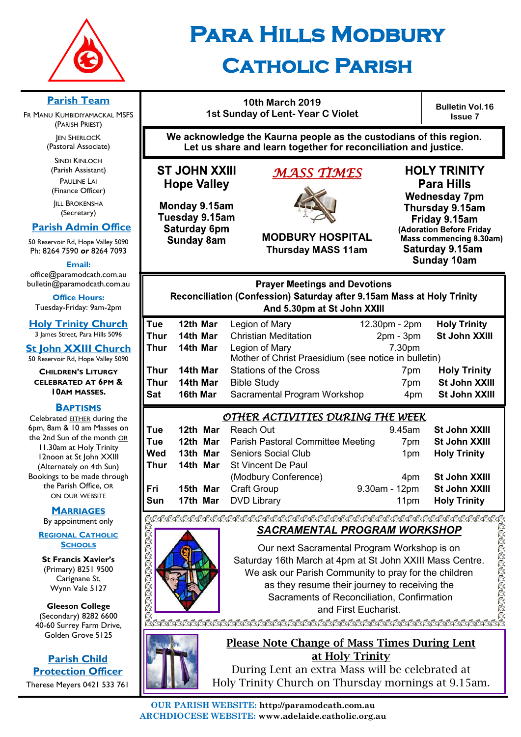

# **Para Hills Modbury**

## **Catholic Parish**

#### **Parish Team**

FR MANU KUMBIDIYAMACKAL MSFS (PARISH PRIEST)

**JEN SHERLOCK** (Pastoral Associate)

SINDI KINLOCH (Parish Assistant) PAULINE LAI (Finance Officer)

**IILL BROKENSHA** (Secretary)

#### **Parish Admin Office**

50 Reservoir Rd, Hope Valley 5090 Ph: 8264 7590 *or* 8264 7093

**Email:** 

office@paramodcath.com.au bulletin@paramodcath.com.au

**Office Hours:**  Tuesday-Friday: 9am-2pm

**Holy Trinity Church** 3 James Street, Para Hills 5096

**St John XXIII Church** 50 Reservoir Rd, Hope Valley 5090

**CHILDREN'S LITURGY CELEBRATED AT 6PM & 10AM MASSES.**

#### **BAPTISMS**

Celebrated EITHER during the 6pm, 8am & 10 am Masses on the 2nd Sun of the month OR 11.30am at Holy Trinity 12noon at St John XXIII (Alternately on 4th Sun) Bookings to be made through the Parish Office, OR ON OUR WEBSITE

#### **MARRIAGES**

By appointment only

#### **REGIONAL CATHOLIC SCHOOLS**

**St Francis Xavier's**  (Primary) 8251 9500 Carignane St, Wynn Vale 5127

**Gleeson College**  (Secondary) 8282 6600 40-60 Surrey Farm Drive, Golden Grove 5125

#### **Parish Child Protection Officer** Therese Meyers 0421 533 761

**10th March 2019 1st Sunday of Lent- Year C Violet**

**Bulletin Vol.16 Issue 7**

**We acknowledge the Kaurna people as the custodians of this region. Let us share and learn together for reconciliation and justice.**

**ST JOHN XXIII Hope Valley** 

Monday 9.15am Tuesday 9.15am Saturday 6pm **Sunday 8am** 

#### *MASS TIMES*



**MODBURY HOSPITAL Thursday MASS 11am**

**HOLY TRINITY Para Hills Wednesday 7pm** Thursday 9.15am Friday 9.15am (Adoration Before Friday Mass commencing 8.30am) Saturday 9.15am **Sunday 10am** 

#### **Prayer Meetings and Devotions** Reconciliation (Confession) Saturday after 9.15am Mass at Holy Trinity And 5.30pm at St John XXIII

| Tue  | 12th Mar | Legion of Mary                                       | 12.30pm - 2pm   | <b>Holy Trinity</b> |  |  |
|------|----------|------------------------------------------------------|-----------------|---------------------|--|--|
| Thur | 14th Mar | <b>Christian Meditation</b>                          | $2pm - 3pm$     | St John XXIII       |  |  |
| Thur | 14th Mar | Legion of Mary                                       | 7.30pm          |                     |  |  |
|      |          | Mother of Christ Praesidium (see notice in bulletin) |                 |                     |  |  |
| Thur | 14th Mar | <b>Stations of the Cross</b>                         | 7 <sub>pm</sub> | <b>Holy Trinity</b> |  |  |
| Thur | 14th Mar | <b>Bible Study</b>                                   | 7pm             | St John XXIII       |  |  |
| Sat  | 16th Mar | Sacramental Program Workshop                         | 4pm             | St John XXIII       |  |  |
|      |          |                                                      |                 |                     |  |  |

#### *OTHER ACTIVITIES DURING THE WEEK*

| Tue  | 12th Mar | Reach Out                                         | 9.45am           | <b>St John XXIII</b> |  |  |  |
|------|----------|---------------------------------------------------|------------------|----------------------|--|--|--|
| Tue  |          | <b>12th Mar</b> Parish Pastoral Committee Meeting | 7 <sub>pm</sub>  | St John XXIII        |  |  |  |
| Wed  | 13th Mar | Seniors Social Club                               | 1 <sub>pm</sub>  | <b>Holy Trinity</b>  |  |  |  |
| Thur |          | <b>14th Mar</b> St Vincent De Paul                |                  |                      |  |  |  |
|      |          | (Modbury Conference)                              | 4 <sub>pm</sub>  | St John XXIII        |  |  |  |
| Fri  |          | <b>15th Mar</b> Craft Group                       | 9.30am - 12pm    | <b>St John XXIII</b> |  |  |  |
| Sun  |          | <b>17th Mar</b> DVD Library                       | 11 <sub>pm</sub> | <b>Holy Trinity</b>  |  |  |  |
|      |          |                                                   |                  |                      |  |  |  |

#### *SACRAMENTAL PROGRAM WORKSHOP*

Our next Sacramental Program Workshop is on Saturday 16th March at 4pm at St John XXIII Mass Centre. We ask our Parish Community to pray for the children as they resume their journey to receiving the Sacraments of Reconciliation, Confirmation and First Eucharist.



#### Please Note Change of Mass Times During Lent at Holy Trinity

During Lent an extra Mass will be celebrated at Holy Trinity Church on Thursday mornings at 9.15am.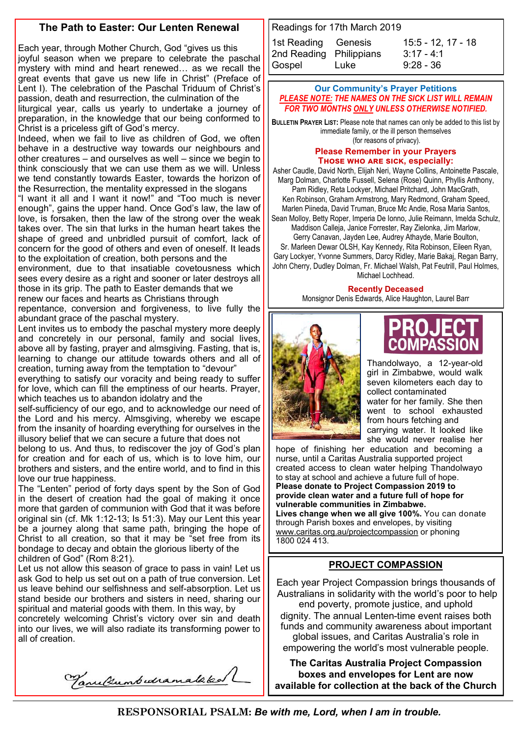#### **The Path to Easter: Our Lenten Renewal**

Each year, through Mother Church, God "gives us this joyful season when we prepare to celebrate the paschal mystery with mind and heart renewed… as we recall the great events that gave us new life in Christ" (Preface of Lent I). The celebration of the Paschal Triduum of Christ's passion, death and resurrection, the culmination of the liturgical year, calls us yearly to undertake a journey of preparation, in the knowledge that our being conformed to Christ is a priceless gift of God's mercy.

Indeed, when we fail to live as children of God, we often behave in a destructive way towards our neighbours and other creatures – and ourselves as well – since we begin to think consciously that we can use them as we will. Unless we tend constantly towards Easter, towards the horizon of the Resurrection, the mentality expressed in the slogans

"I want it all and I want it now!" and "Too much is never enough", gains the upper hand. Once God's law, the law of love, is forsaken, then the law of the strong over the weak takes over. The sin that lurks in the human heart takes the shape of greed and unbridled pursuit of comfort, lack of concern for the good of others and even of oneself. It leads to the exploitation of creation, both persons and the

environment, due to that insatiable covetousness which sees every desire as a right and sooner or later destroys all those in its grip. The path to Easter demands that we renew our faces and hearts as Christians through

repentance, conversion and forgiveness, to live fully the abundant grace of the paschal mystery.

Lent invites us to embody the paschal mystery more deeply and concretely in our personal, family and social lives, above all by fasting, prayer and almsgiving. Fasting, that is, learning to change our attitude towards others and all of creation, turning away from the temptation to "devour"

everything to satisfy our voracity and being ready to suffer for love, which can fill the emptiness of our hearts. Prayer, which teaches us to abandon idolatry and the

self-sufficiency of our ego, and to acknowledge our need of the Lord and his mercy. Almsgiving, whereby we escape from the insanity of hoarding everything for ourselves in the illusory belief that we can secure a future that does not

belong to us. And thus, to rediscover the joy of God's plan for creation and for each of us, which is to love him, our brothers and sisters, and the entire world, and to find in this love our true happiness.

The "Lenten" period of forty days spent by the Son of God in the desert of creation had the goal of making it once more that garden of communion with God that it was before original sin (cf. Mk 1:12-13; Is 51:3). May our Lent this year be a journey along that same path, bringing the hope of Christ to all creation, so that it may be "set free from its bondage to decay and obtain the glorious liberty of the children of God" (Rom 8:21).

Let us not allow this season of grace to pass in vain! Let us ask God to help us set out on a path of true conversion. Let us leave behind our selfishness and self-absorption. Let us stand beside our brothers and sisters in need, sharing our spiritual and material goods with them. In this way, by

concretely welcoming Christ's victory over sin and death into our lives, we will also radiate its transforming power to all of creation.

Tanulumbedramataked

Readings for 17th March 2019 1st Reading Genesis 15:5 - 12, 17 - 18 2nd Reading Philippians [3:17](javascript:expandDetail(%22reading%22,%22SR%22,%22N04ORSUC%22,%20%22right_content_middle%22,%22%22);) - 4:1 Gospel Luke 9:28 - 36

#### **Our Community's Prayer Petitions**  *PLEASE NOTE: THE NAMES ON THE SICK LIST WILL REMAIN FOR TWO MONTHS ONLY UNLESS OTHERWISE NOTIFIED.*

**BULLETIN PRAYER LIST:** Please note that names can only be added to this list by immediate family, or the ill person themselves (for reasons of privacy).

#### **Please Remember in your Prayers Those who are sick, especially:**

Asher Caudle, David North, Elijah Neri, Wayne Collins, Antoinette Pascale, Marg Dolman, Charlotte Fussell, Selena (Rose) Quinn, Phyllis Anthony,

Pam Ridley, Reta Lockyer, Michael Pritchard, John MacGrath, Ken Robinson, Graham Armstrong, Mary Redmond, Graham Speed, Marlen Piineda, David Truman, Bruce Mc Andie, Rosa Maria Santos, Sean Molloy, Betty Roper, Imperia De Ionno, Julie Reimann, Imelda Schulz,

Maddison Calleja, Janice Forrester, Ray Zielonka, Jim Marlow,

Gerry Canavan, Jayden Lee, Audrey Athayde, Marie Boulton, Sr. Marleen Dewar OLSH, Kay Kennedy, Rita Robinson, Eileen Ryan, Gary Lockyer, Yvonne Summers, Darcy Ridley, Marie Bakaj, Regan Barry, John Cherry, Dudley Dolman, Fr. Michael Walsh, Pat Feutrill, Paul Holmes, Michael Lochhead.

#### **Recently Deceased**

Monsignor Denis Edwards, Alice Haughton, Laurel Barr



Thandolwayo, a 12-year-old girl in Zimbabwe, would walk seven kilometers each day to collect contaminated water for her family. She then went to school exhausted from hours fetching and carrying water. It looked like she would never realise her

hope of finishing her education and becoming a nurse, until a Caritas Australia supported project created access to clean water helping Thandolwayo to stay at school and achieve a future full of hope. **Please donate to Project Compassion 2019 to provide clean water and a future full of hope for vulnerable communities in Zimbabwe. Lives change when we all give 100%.** You can donate through Parish boxes and envelopes, by visiting [www.caritas.org.au/projectcompassion](http://www.caritas.org.au/projectcompassion) or phoning 1800 024 413.

#### **PROJECT COMPASSION**

Each year Project Compassion brings thousands of Australians in solidarity with the world's poor to help end poverty, promote justice, and uphold dignity. The annual Lenten-time event raises both funds and community awareness about important global issues, and Caritas Australia's role in empowering the world's most vulnerable people.

**The Caritas Australia Project Compassion boxes and envelopes for Lent are now available for collection at the back of the Church**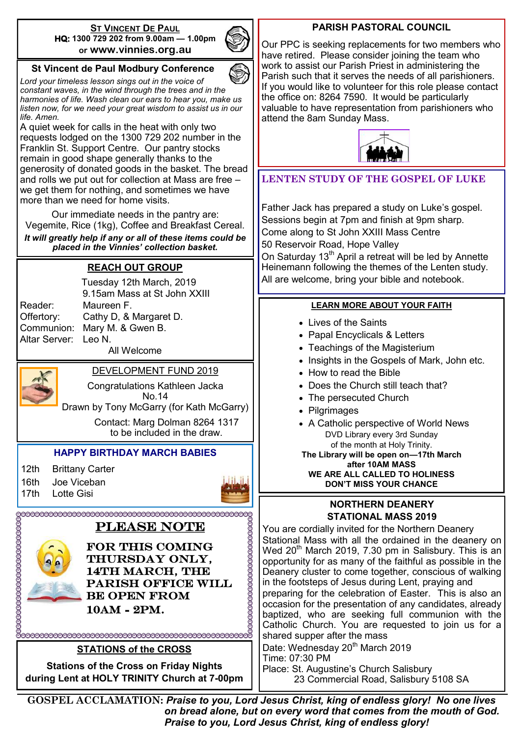#### **ST VINCENT DE PAUL HQ: 1300 729 202 from 9.00am — 1.00pm or www.vinnies.org.au**



#### **St Vincent de Paul Modbury Conference**

*Lord your timeless lesson sings out in the voice of constant waves, in the wind through the trees and in the harmonies of life. Wash clean our ears to hear you, make us listen now, for we need your great wisdom to assist us in our life. Amen.*

A quiet week for calls in the heat with only two requests lodged on the 1300 729 202 number in the Franklin St. Support Centre. Our pantry stocks remain in good shape generally thanks to the generosity of donated goods in the basket. The bread and rolls we put out for collection at Mass are free – we get them for nothing, and sometimes we have more than we need for home visits.

Our immediate needs in the pantry are: Vegemite, Rice (1kg), Coffee and Breakfast Cereal. *It will greatly help if any or all of these items could be placed in the Vinnies' collection basket.*

#### **REACH OUT GROUP**

Altar Server: Leo N.

 Tuesday 12th March, 2019 9.15am Mass at St John XXIII Reader: Maureen F. Offertory: Cathy D, & Margaret D. Communion: Mary M. & Gwen B. All Welcome

#### DEVELOPMENT FUND 2019

Congratulations Kathleen Jacka No.14

Drawn by Tony McGarry (for Kath McGarry)

Contact: Marg Dolman 8264 1317 to be included in the draw.

#### **HAPPY BIRTHDAY MARCH BABIES**

12th Brittany Carter

16th Joe Viceban

17th Lotte Gisi



#### PLEASE NOTE



FOR THIS COMING THURSDAY ONLY, 14TH MARCH, THE parish Office will be open from 10am - 2pm.

#### **STATIONS of the CROSS**

**Stations of the Cross on Friday Nights during Lent at HOLY TRINITY Church at 7-00pm** 

#### **PARISH PASTORAL COUNCIL**

Our PPC is seeking replacements for two members who have retired. Please consider joining the team who work to assist our Parish Priest in administering the Parish such that it serves the needs of all parishioners. If you would like to volunteer for this role please contact the office on: 8264 7590. It would be particularly valuable to have representation from parishioners who attend the 8am Sunday Mass.



#### **LENTEN STUDY OF THE GOSPEL OF LUKE**

Father Jack has prepared a study on Luke's gospel. Sessions begin at 7pm and finish at 9pm sharp. Come along to St John XXIII Mass Centre 50 Reservoir Road, Hope Valley

On Saturday 13<sup>th</sup> April a retreat will be led by Annette Heinemann following the themes of the Lenten study. All are welcome, bring your bible and notebook.

#### **LEARN MORE ABOUT YOUR FAITH**

- Lives of the Saints
- Papal Encyclicals & Letters
- Teachings of the Magisterium
- Insights in the Gospels of Mark, John etc.
- How to read the Bible
- Does the Church still teach that?
- The persecuted Church
- Pilgrimages
- A Catholic perspective of World News DVD Library every 3rd Sunday of the month at Holy Trinity.

**The Library will be open on—17th March after 10AM MASS**

**WE ARE ALL CALLED TO HOLINESS DON'T MISS YOUR CHANCE**

#### **NORTHERN DEANERY STATIONAL MASS 2019**

You are cordially invited for the Northern Deanery Stational Mass with all the ordained in the deanery on Wed 20<sup>th</sup> March 2019, 7.30 pm in Salisbury. This is an opportunity for as many of the faithful as possible in the Deanery cluster to come together, conscious of walking in the footsteps of Jesus during Lent, praying and

preparing for the celebration of Easter. This is also an occasion for the presentation of any candidates, already baptized, who are seeking full communion with the Catholic Church. You are requested to join us for a shared supper after the mass

Date: Wednesday 20<sup>th</sup> March 2019 Time: 07:30 PM Place: St. Augustine's Church Salisbury 23 Commercial Road, Salisbury 5108 SA

**GOSPEL ACCLAMATION:** *Praise to you, Lord Jesus Christ, king of endless glory! No one lives on bread alone, but on every word that comes from the mouth of God. Praise to you, Lord Jesus Christ, king of endless glory!*